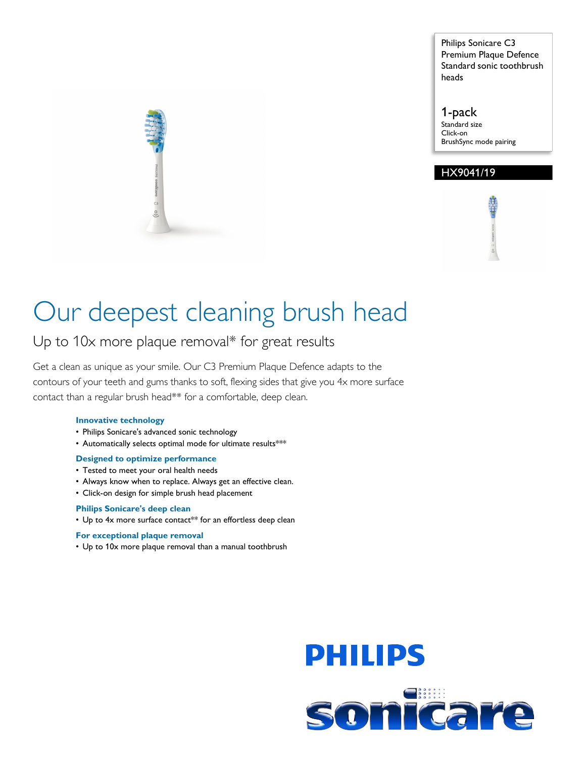Philips Sonicare C3 Premium Plaque Defence Standard sonic toothbrush heads

1-pack Standard size Click-on BrushSync mode pairing

#### HX9041/19

# Our deepest cleaning brush head

### Up to 10x more plaque removal\* for great results

Get a clean as unique as your smile. Our C3 Premium Plaque Defence adapts to the contours of your teeth and gums thanks to soft, flexing sides that give you 4x more surface contact than a regular brush head\*\* for a comfortable, deep clean.

#### **Innovative technology**

- Philips Sonicare's advanced sonic technology
- Automatically selects optimal mode for ultimate results\*\*\*

#### **Designed to optimize performance**

- Tested to meet your oral health needs
- Always know when to replace. Always get an effective clean.
- Click-on design for simple brush head placement

#### **Philips Sonicare's deep clean**

• Up to 4x more surface contact\*\* for an effortless deep clean

#### **For exceptional plaque removal**

• Up to 10x more plaque removal than a manual toothbrush



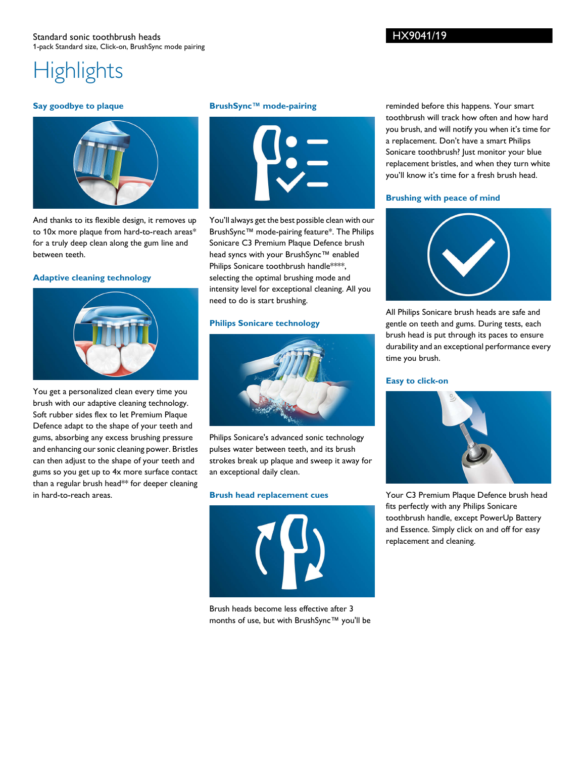## **Highlights**

#### **Say goodbye to plaque**



And thanks to its flexible design, it removes up to 10x more plaque from hard-to-reach areas\* for a truly deep clean along the gum line and between teeth.

#### **Adaptive cleaning technology**



You get a personalized clean every time you brush with our adaptive cleaning technology. Soft rubber sides flex to let Premium Plaque Defence adapt to the shape of your teeth and gums, absorbing any excess brushing pressure and enhancing our sonic cleaning power. Bristles can then adjust to the shape of your teeth and gums so you get up to 4x more surface contact than a regular brush head\*\* for deeper cleaning in hard-to-reach areas.

#### **BrushSync™ mode-pairing**



You'll always get the best possible clean with our BrushSync™ mode-pairing feature\*. The Philips Sonicare C3 Premium Plaque Defence brush head syncs with your BrushSync™ enabled Philips Sonicare toothbrush handle\*\*\*\*, selecting the optimal brushing mode and intensity level for exceptional cleaning. All you need to do is start brushing.

#### **Philips Sonicare technology**



Philips Sonicare's advanced sonic technology pulses water between teeth, and its brush strokes break up plaque and sweep it away for an exceptional daily clean.

#### **Brush head replacement cues**



Brush heads become less effective after 3 months of use, but with BrushSync™ you'll be

reminded before this happens. Your smart toothbrush will track how often and how hard you brush, and will notify you when it's time for a replacement. Don't have a smart Philips Sonicare toothbrush? Just monitor your blue replacement bristles, and when they turn white you'll know it's time for a fresh brush head.

#### **Brushing with peace of mind**



All Philips Sonicare brush heads are safe and gentle on teeth and gums. During tests, each brush head is put through its paces to ensure durability and an exceptional performance every time you brush.

#### **Easy to click-on**



Your C3 Premium Plaque Defence brush head fits perfectly with any Philips Sonicare toothbrush handle, except PowerUp Battery and Essence. Simply click on and off for easy replacement and cleaning.